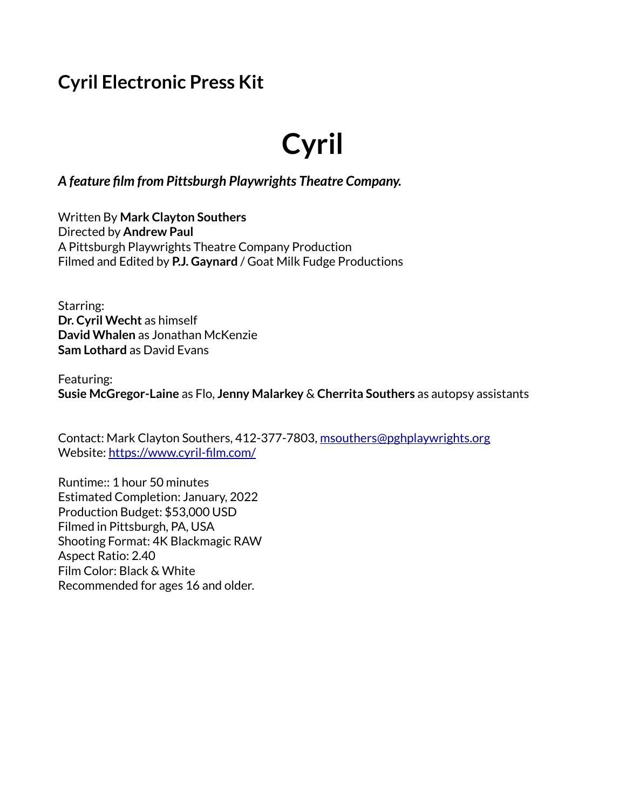# **Cyril Electronic Press Kit**

# **Cyril**

#### *A feature film from Pittsburgh Playwrights Theatre Company.*

Written By **Mark Clayton Southers** Directed by **Andrew Paul** A Pittsburgh Playwrights Theatre Company Production Filmed and Edited by **P.J. Gaynard** / Goat Milk Fudge Productions

Starring: **Dr. Cyril Wecht** as himself **David Whalen** as Jonathan McKenzie **Sam Lothard** as David Evans

Featuring: **Susie McGregor-Laine** as Flo, **Jenny Malarkey** & **Cherrita Southers** as autopsy assistants

Contact: Mark Clayton Southers, 412-377-7803, [msouthers@pghplaywrights.org](mailto:msouthers@pghplaywrights.org) Website:<https://www.cyril-film.com/>

Runtime:: 1 hour 50 minutes Estimated Completion: January, 2022 Production Budget: \$53,000 USD Filmed in Pittsburgh, PA, USA Shooting Format: 4K Blackmagic RAW Aspect Ratio: 2.40 Film Color: Black & White Recommended for ages 16 and older.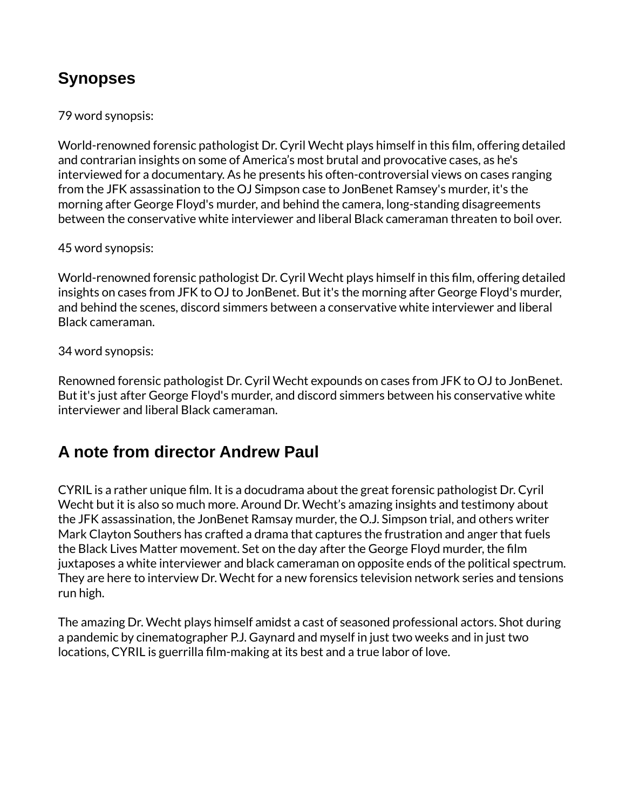## **Synopses**

#### 79 word synopsis:

World-renowned forensic pathologist Dr. Cyril Wecht plays himself in this film, offering detailed and contrarian insights on some of America's most brutal and provocative cases, as he's interviewed for a documentary. As he presents his often-controversial views on cases ranging from the JFK assassination to the OJ Simpson case to JonBenet Ramsey's murder, it's the morning after George Floyd's murder, and behind the camera, long-standing disagreements between the conservative white interviewer and liberal Black cameraman threaten to boil over.

#### 45 word synopsis:

World-renowned forensic pathologist Dr. Cyril Wecht plays himself in this film, offering detailed insights on cases from JFK to OJ to JonBenet. But it's the morning after George Floyd's murder, and behind the scenes, discord simmers between a conservative white interviewer and liberal Black cameraman.

#### 34 word synopsis:

Renowned forensic pathologist Dr. Cyril Wecht expounds on cases from JFK to OJ to JonBenet. But it's just after George Floyd's murder, and discord simmers between his conservative white interviewer and liberal Black cameraman.

## **A note from director Andrew Paul**

CYRIL is a rather unique film. It is a docudrama about the great forensic pathologist Dr. Cyril Wecht but it is also so much more. Around Dr. Wecht's amazing insights and testimony about the JFK assassination, the JonBenet Ramsay murder, the O.J. Simpson trial, and others writer Mark Clayton Southers has crafted a drama that captures the frustration and anger that fuels the Black Lives Matter movement. Set on the day after the George Floyd murder, the film juxtaposes a white interviewer and black cameraman on opposite ends of the political spectrum. They are here to interview Dr. Wecht for a new forensics television network series and tensions run high.

The amazing Dr. Wecht plays himself amidst a cast of seasoned professional actors. Shot during a pandemic by cinematographer P.J. Gaynard and myself in just two weeks and in just two locations, CYRIL is guerrilla film-making at its best and a true labor of love.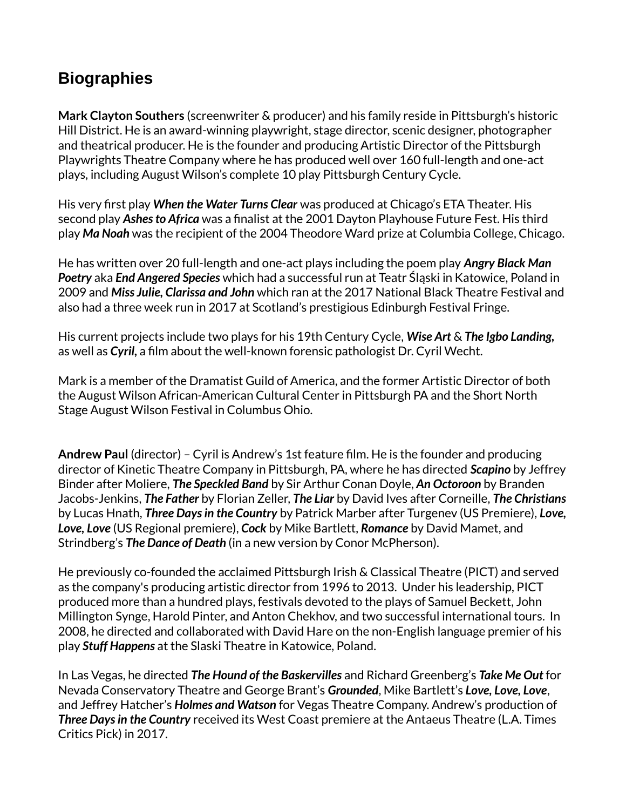## **Biographies**

**Mark Clayton Southers** (screenwriter & producer) and his family reside in Pittsburgh's historic Hill District. He is an award-winning playwright, stage director, scenic designer, photographer and theatrical producer. He is the founder and producing Artistic Director of the Pittsburgh Playwrights Theatre Company where he has produced well over 160 full-length and one-act plays, including August Wilson's complete 10 play Pittsburgh Century Cycle.

His very first play *When the Water Turns Clear* was produced at Chicago's ETA Theater. His second play *Ashes to Africa* was a finalist at the 2001 Dayton Playhouse Future Fest. His third play *Ma Noah* was the recipient of the 2004 Theodore Ward prize at Columbia College, Chicago.

He has written over 20 full-length and one-act plays including the poem play *Angry Black Man Poetry* aka *End Angered Species* which had a successful run at Teatr Śląski in Katowice, Poland in 2009 and *Miss Julie, Clarissa and John* which ran at the 2017 National Black Theatre Festival and also had a three week run in 2017 at Scotland's prestigious Edinburgh Festival Fringe.

His current projects include two plays for his 19th Century Cycle, *Wise Art* & *The Igbo Landing,* as well as *Cyril,* a film about the well-known forensic pathologist Dr. Cyril Wecht.

Mark is a member of the Dramatist Guild of America, and the former Artistic Director of both the August Wilson African-American Cultural Center in Pittsburgh PA and the Short North Stage August Wilson Festival in Columbus Ohio.

**Andrew Paul** (director) – Cyril is Andrew's 1st feature film. He is the founder and producing director of Kinetic Theatre Company in Pittsburgh, PA, where he has directed *Scapino* by Jeffrey Binder after Moliere, *The Speckled Band* by Sir Arthur Conan Doyle, *An Octoroon* by Branden Jacobs-Jenkins, *The Father* by Florian Zeller, *The Liar* by David Ives after Corneille, *The Christians* by Lucas Hnath, *Three Days in the Country* by Patrick Marber after Turgenev (US Premiere), *Love, Love, Love* (US Regional premiere), *Cock* by Mike Bartlett, *Romance* by David Mamet, and Strindberg's *The Dance of Death* (in a new version by Conor McPherson).

He previously co-founded the acclaimed Pittsburgh Irish & Classical Theatre (PICT) and served as the company's producing artistic director from 1996 to 2013. Under his leadership, PICT produced more than a hundred plays, festivals devoted to the plays of Samuel Beckett, John Millington Synge, Harold Pinter, and Anton Chekhov, and two successful international tours. In 2008, he directed and collaborated with David Hare on the non-English language premier of his play *Stuff Happens* at the Slaski Theatre in Katowice, Poland.

In Las Vegas, he directed *The Hound of the Baskervilles* and Richard Greenberg's *Take Me Out* for Nevada Conservatory Theatre and George Brant's *Grounded*, Mike Bartlett's *Love, Love, Love*, and Jeffrey Hatcher's *Holmes and Watson* for Vegas Theatre Company. Andrew's production of *Three Days in the Country* received its West Coast premiere at the Antaeus Theatre (L.A. Times Critics Pick) in 2017.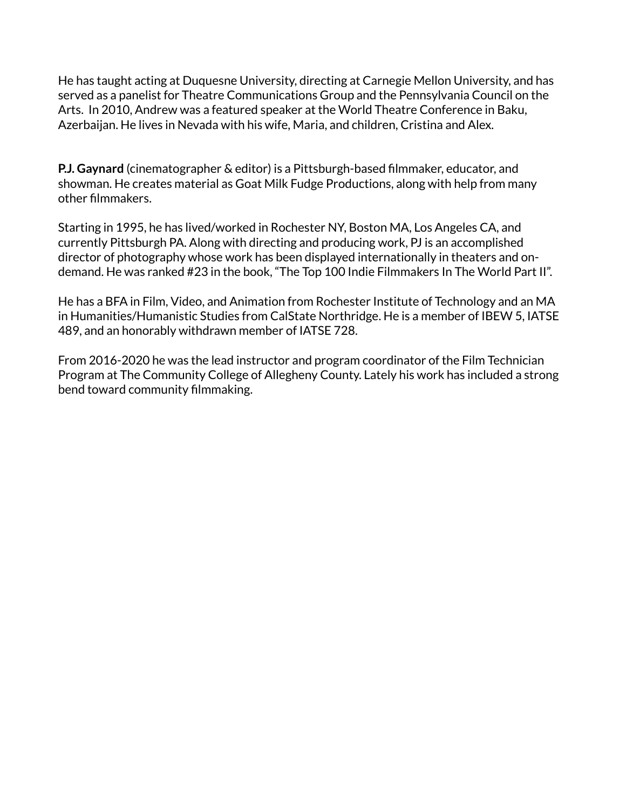He has taught acting at Duquesne University, directing at Carnegie Mellon University, and has served as a panelist for Theatre Communications Group and the Pennsylvania Council on the Arts. In 2010, Andrew was a featured speaker at the World Theatre Conference in Baku, Azerbaijan. He lives in Nevada with his wife, Maria, and children, Cristina and Alex.

**P.J. Gaynard** (cinematographer & editor) is a Pittsburgh-based filmmaker, educator, and showman. He creates material as Goat Milk Fudge Productions, along with help from many other filmmakers.

Starting in 1995, he has lived/worked in Rochester NY, Boston MA, Los Angeles CA, and currently Pittsburgh PA. Along with directing and producing work, PJ is an accomplished director of photography whose work has been displayed internationally in theaters and ondemand. He was ranked #23 in the book, "The Top 100 Indie Filmmakers In The World Part II".

He has a BFA in Film, Video, and Animation from Rochester Institute of Technology and an MA in Humanities/Humanistic Studies from CalState Northridge. He is a member of IBEW 5, IATSE 489, and an honorably withdrawn member of IATSE 728.

From 2016-2020 he was the lead instructor and program coordinator of the Film Technician Program at The Community College of Allegheny County. Lately his work has included a strong bend toward community filmmaking.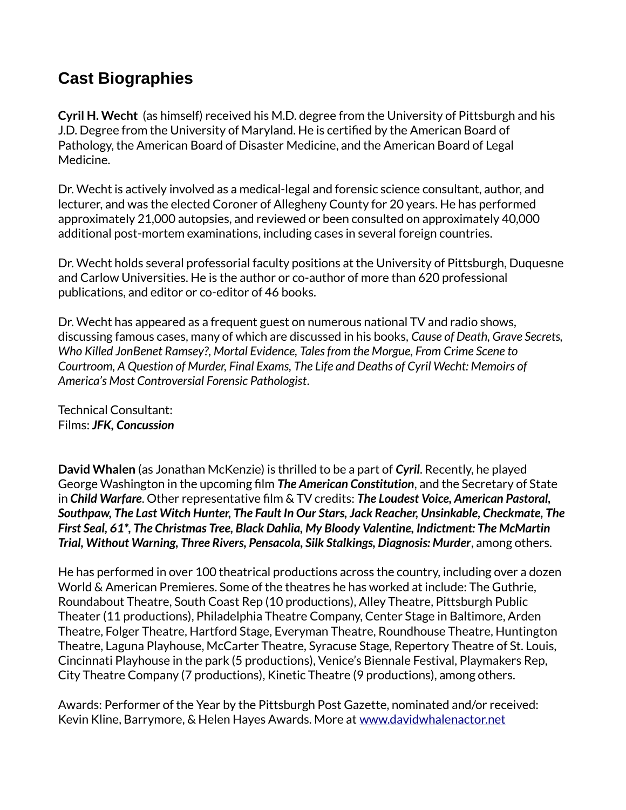#### **Cast Biographies**

**Cyril H. Wecht** (as himself) received his M.D. degree from the University of Pittsburgh and his J.D. Degree from the University of Maryland. He is certified by the American Board of Pathology, the American Board of Disaster Medicine, and the American Board of Legal Medicine.

Dr. Wecht is actively involved as a medical-legal and forensic science consultant, author, and lecturer, and was the elected Coroner of Allegheny County for 20 years. He has performed approximately 21,000 autopsies, and reviewed or been consulted on approximately 40,000 additional post-mortem examinations, including cases in several foreign countries.

Dr. Wecht holds several professorial faculty positions at the University of Pittsburgh, Duquesne and Carlow Universities. He is the author or co-author of more than 620 professional publications, and editor or co-editor of 46 books.

Dr. Wecht has appeared as a frequent guest on numerous national TV and radio shows, discussing famous cases, many of which are discussed in his books, *Cause of Death, Grave Secrets, Who Killed JonBenet Ramsey?, Mortal Evidence, Tales from the Morgue, From Crime Scene to Courtroom, A Question of Murder, Final Exams, The Life and Deaths of Cyril Wecht: Memoirs of America's Most Controversial Forensic Pathologist*.

Technical Consultant: Films: *JFK, Concussion*

**David Whalen** (as Jonathan McKenzie) is thrilled to be a part of *Cyril*. Recently, he played George Washington in the upcoming film *The American Constitution*, and the Secretary of State in *Child Warfare*. Other representative film & TV credits: *The Loudest Voice, American Pastoral, Southpaw, The Last Witch Hunter, The Fault In Our Stars, Jack Reacher, Unsinkable, Checkmate, The First Seal, 61\*, The Christmas Tree, Black Dahlia, My Bloody Valentine, Indictment: The McMartin*  **Trial, Without Warning, Three Rivers, Pensacola, Silk Stalkings, Diagnosis: Murder, among others.** 

He has performed in over 100 theatrical productions across the country, including over a dozen World & American Premieres. Some of the theatres he has worked at include: The Guthrie, Roundabout Theatre, South Coast Rep (10 productions), Alley Theatre, Pittsburgh Public Theater (11 productions), Philadelphia Theatre Company, Center Stage in Baltimore, Arden Theatre, Folger Theatre, Hartford Stage, Everyman Theatre, Roundhouse Theatre, Huntington Theatre, Laguna Playhouse, McCarter Theatre, Syracuse Stage, Repertory Theatre of St. Louis, Cincinnati Playhouse in the park (5 productions), Venice's Biennale Festival, Playmakers Rep, City Theatre Company (7 productions), Kinetic Theatre (9 productions), among others.

Awards: Performer of the Year by the Pittsburgh Post Gazette, nominated and/or received: Kevin Kline, Barrymore, & Helen Hayes Awards. More at [www.davidwhalenactor.net](https://www.davidwhalenactor.net/)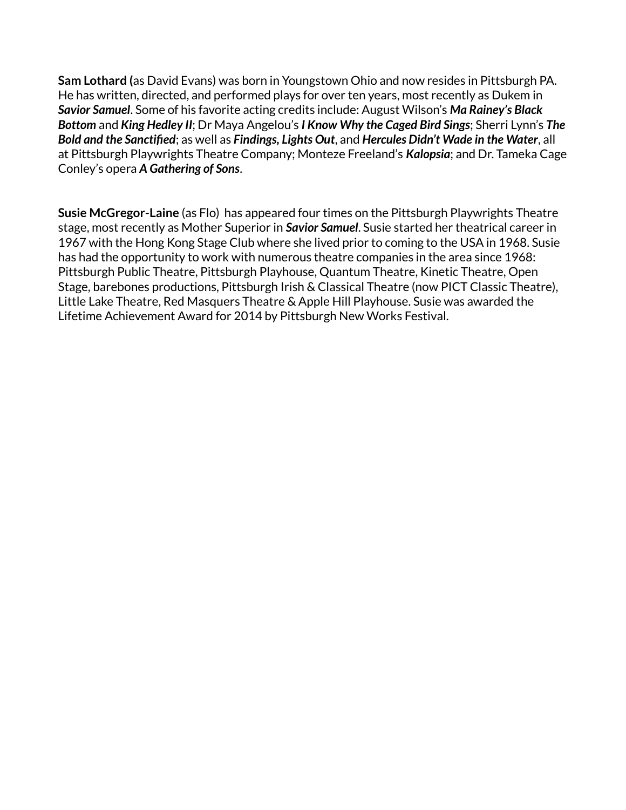**Sam Lothard (**as David Evans) was born in Youngstown Ohio and now resides in Pittsburgh PA. He has written, directed, and performed plays for over ten years, most recently as Dukem in *Savior Samuel*. Some of his favorite acting credits include: August Wilson's *Ma Rainey's Black Bottom* and *King Hedley II*; Dr Maya Angelou's *I Know Why the Caged Bird Sings*; Sherri Lynn's *The Bold and the Sanctified*; as well as *Findings, Lights Out*, and *Hercules Didn't Wade in the Water*, all at Pittsburgh Playwrights Theatre Company; Monteze Freeland's *Kalopsia*; and Dr. Tameka Cage Conley's opera *A Gathering of Sons*.

**Susie McGregor-Laine** (as Flo) has appeared four times on the Pittsburgh Playwrights Theatre stage, most recently as Mother Superior in *Savior Samuel*. Susie started her theatrical career in 1967 with the Hong Kong Stage Club where she lived prior to coming to the USA in 1968. Susie has had the opportunity to work with numerous theatre companies in the area since 1968: Pittsburgh Public Theatre, Pittsburgh Playhouse, Quantum Theatre, Kinetic Theatre, Open Stage, barebones productions, Pittsburgh Irish & Classical Theatre (now PICT Classic Theatre), Little Lake Theatre, Red Masquers Theatre & Apple Hill Playhouse. Susie was awarded the Lifetime Achievement Award for 2014 by Pittsburgh New Works Festival.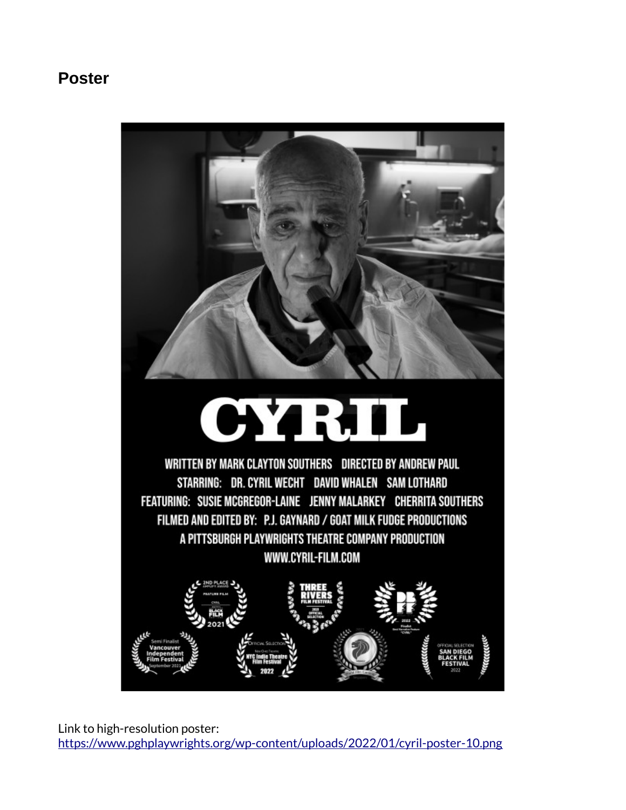#### **Poster**

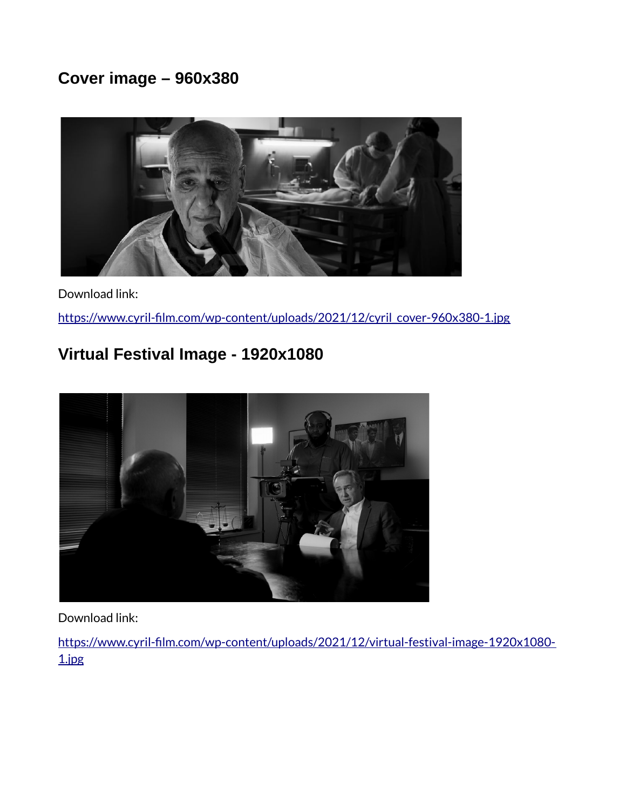## **Cover image – 960x380**



#### Download link:

[https://www.cyril-film.com/wp-content/uploads/2021/12/cyril\\_cover-960x380-1.jpg](https://www.cyril-film.com/wp-content/uploads/2021/12/cyril_cover-960x380-1.jpg)

## **Virtual Festival Image - 1920x1080**



Download link:

[https://www.cyril-film.com/wp-content/uploads/2021/12/virtual-festival-image-1920x1080-](https://www.cyril-film.com/wp-content/uploads/2021/12/virtual-festival-image-1920x1080-1.jpg) [1.jpg](https://www.cyril-film.com/wp-content/uploads/2021/12/virtual-festival-image-1920x1080-1.jpg)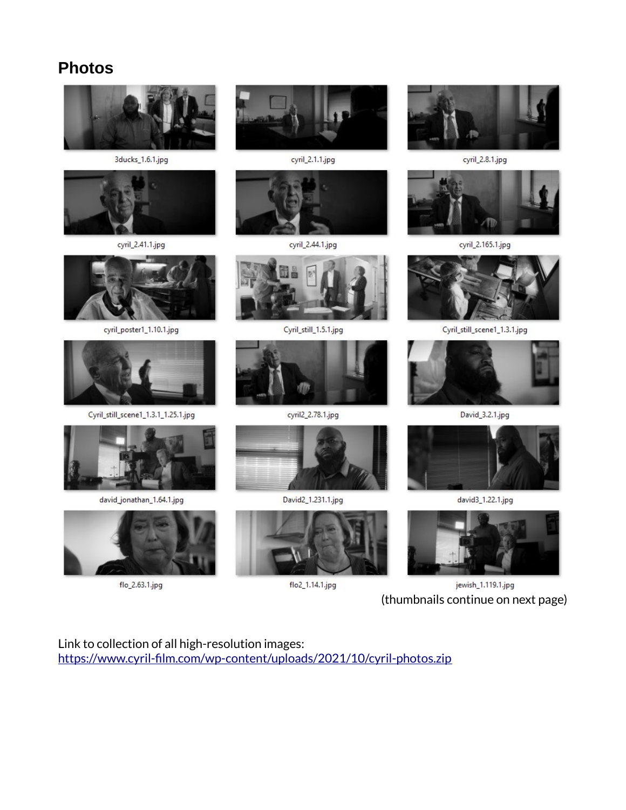#### **Photos**



jewish\_1.119.1.jpg (thumbnails continue on next page)

Link to collection of all high-resolution images: <https://www.cyril-film.com/wp-content/uploads/2021/10/cyril-photos.zip>